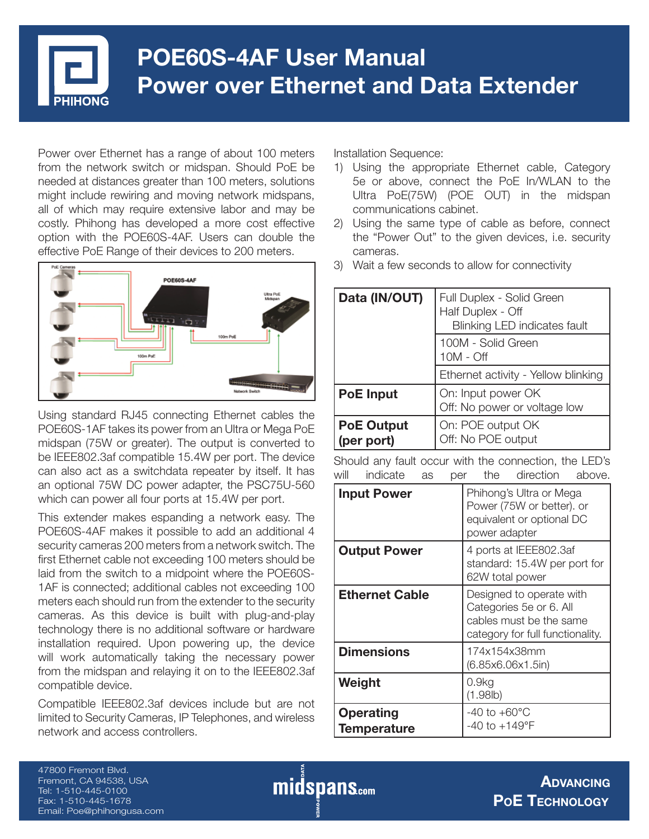

# **POE60S-4AF User Manual Power over Ethernet and Data Extender**

Power over Ethernet has a range of about 100 meters from the network switch or midspan. Should PoE be needed at distances greater than 100 meters, solutions might include rewiring and moving network midspans, all of which may require extensive labor and may be costly. Phihong has developed a more cost effective option with the POE60S-4AF. Users can double the effective PoE Range of their devices to 200 meters.



Using standard RJ45 connecting Ethernet cables the POE60S-1AF takes its power from an Ultra or Mega PoE midspan (75W or greater). The output is converted to be IEEE802.3af compatible 15.4W per port. The device can also act as a switchdata repeater by itself. It has an optional 75W DC power adapter, the PSC75U-560 which can power all four ports at 15.4W per port.

This extender makes espanding a network easy. The POE60S-4AF makes it possible to add an additional 4 security cameras 200 meters from a network switch. The first Ethernet cable not exceeding 100 meters should be laid from the switch to a midpoint where the POE60S-1AF is connected; additional cables not exceeding 100 meters each should run from the extender to the security cameras. As this device is built with plug-and-play technology there is no additional software or hardware installation required. Upon powering up, the device will work automatically taking the necessary power from the midspan and relaying it on to the IEEE802.3af compatible device.

Compatible IEEE802.3af devices include but are not limited to Security Cameras, IP Telephones, and wireless network and access controllers.

Installation Sequence:

- 1) Using the appropriate Ethernet cable, Category 5e or above, connect the PoE In/WLAN to the Ultra PoE(75W) (POE OUT) in the midspan communications cabinet.
- 2) Using the same type of cable as before, connect the "Power Out" to the given devices, i.e. security cameras.
- 3) Wait a few seconds to allow for connectivity

| Data (IN/OUT)                   | Full Duplex - Solid Green<br>Half Duplex - Off<br><b>Blinking LED indicates fault</b> |
|---------------------------------|---------------------------------------------------------------------------------------|
|                                 | 100M - Solid Green<br>$10M - Off$                                                     |
|                                 | Ethernet activity - Yellow blinking                                                   |
| <b>PoE</b> Input                | On: Input power OK<br>Off: No power or voltage low                                    |
| <b>PoE Output</b><br>(per port) | On: POE output OK<br>Off: No POE output                                               |

Should any fault occur with the connection, the LED's will indicate as per the direction above.

| <b>Input Power</b>                     | Phihong's Ultra or Mega<br>Power (75W or better). or<br>equivalent or optional DC<br>power adapter                 |
|----------------------------------------|--------------------------------------------------------------------------------------------------------------------|
| <b>Output Power</b>                    | 4 ports at IEEE802.3af<br>standard: 15.4W per port for<br>62W total power                                          |
| <b>Ethernet Cable</b>                  | Designed to operate with<br>Categories 5e or 6. All<br>cables must be the same<br>category for full functionality. |
| <b>Dimensions</b>                      | 174x154x38mm<br>(6.85x6.06x1.5in)                                                                                  |
| Weight                                 | 0.9kg<br>(1.98lb)                                                                                                  |
| <b>Operating</b><br><b>Temperature</b> | $-40$ to $+60^{\circ}$ C<br>$-40$ to $+149^{\circ}F$                                                               |

47800 Fremont Blvd. Fremont, CA 94538, USA Tel: 1-510-445-0100 Fax: 1-510-445-1678 Email: Poe@phihongusa.com

**midspans.com**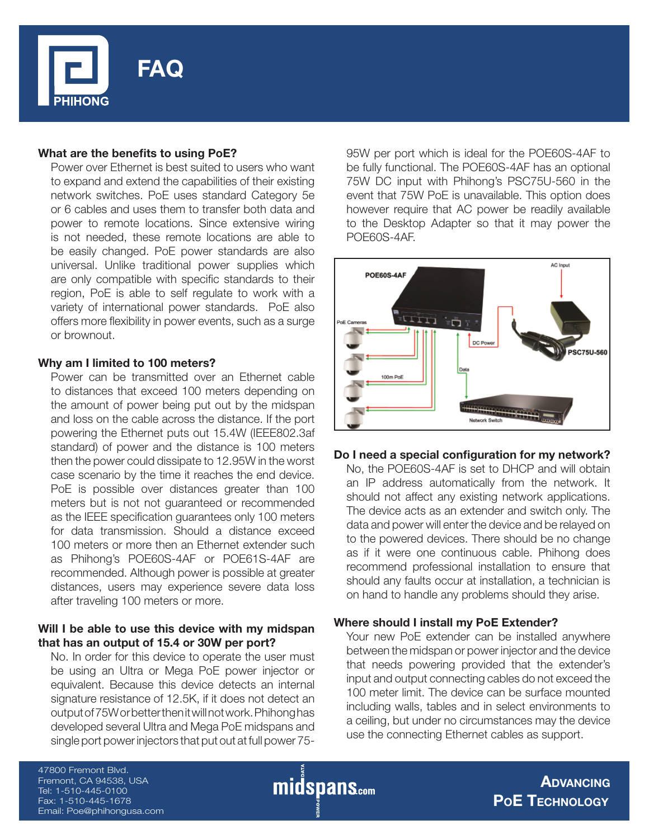

## **What are the benefits to using PoE?**

Power over Ethernet is best suited to users who want to expand and extend the capabilities of their existing network switches. PoE uses standard Category 5e or 6 cables and uses them to transfer both data and power to remote locations. Since extensive wiring is not needed, these remote locations are able to be easily changed. PoE power standards are also universal. Unlike traditional power supplies which are only compatible with specific standards to their region, PoE is able to self regulate to work with a variety of international power standards. PoE also offers more flexibility in power events, such as a surge or brownout.

#### **Why am I limited to 100 meters?**

Power can be transmitted over an Ethernet cable to distances that exceed 100 meters depending on the amount of power being put out by the midspan and loss on the cable across the distance. If the port powering the Ethernet puts out 15.4W (IEEE802.3af standard) of power and the distance is 100 meters then the power could dissipate to 12.95W in the worst case scenario by the time it reaches the end device. PoE is possible over distances greater than 100 meters but is not not guaranteed or recommended as the IEEE specification guarantees only 100 meters for data transmission. Should a distance exceed 100 meters or more then an Ethernet extender such as Phihong's POE60S-4AF or POE61S-4AF are recommended. Although power is possible at greater distances, users may experience severe data loss after traveling 100 meters or more.

## **Will I be able to use this device with my midspan that has an output of 15.4 or 30W per port?**

No. In order for this device to operate the user must be using an Ultra or Mega PoE power injector or equivalent. Because this device detects an internal signature resistance of 12.5K, if it does not detect an output of 75W or better then it will not work. Phihong has developed several Ultra and Mega PoE midspans and single port power injectors that put out at full power 7595W per port which is ideal for the POE60S-4AF to be fully functional. The POE60S-4AF has an optional 75W DC input with Phihong's PSC75U-560 in the event that 75W PoE is unavailable. This option does however require that AC power be readily available to the Desktop Adapter so that it may power the POE60S-4AF.



## Do I need a special configuration for my network?

No, the POE60S-4AF is set to DHCP and will obtain an IP address automatically from the network. It should not affect any existing network applications. The device acts as an extender and switch only. The data and power will enter the device and be relayed on to the powered devices. There should be no change as if it were one continuous cable. Phihong does recommend professional installation to ensure that should any faults occur at installation, a technician is on hand to handle any problems should they arise.

## **Where should I install my PoE Extender?**

Your new PoE extender can be installed anywhere between the midspan or power injector and the device that needs powering provided that the extender's input and output connecting cables do not exceed the 100 meter limit. The device can be surface mounted including walls, tables and in select environments to a ceiling, but under no circumstances may the device use the connecting Ethernet cables as support.

47800 Fremont Blvd. Fremont, CA 94538, USA Tel: 1-510-445-0100 Fax: 1-510-445-1678 Email: Poe@phihongusa.com

midspans.com